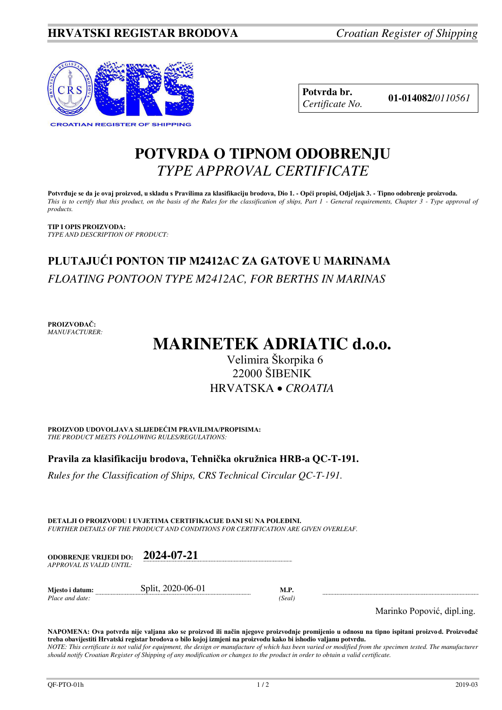

**Potvrda br. 01-014082/***<sup>0110561</sup> Certificate No.* 

## **POTVRDA O TIPNOM ODOBRENJU**  *TYPE APPROVAL CERTIFICATE*

**Potvrđuje se da je ovaj proizvod, u skladu s Pravilima za klasifikaciju brodova, Dio 1. - Opći propisi, Odjeljak 3. - Tipno odobrenje proizvoda.**  *This is to certify that this product, on the basis of the Rules for the classification of ships, Part 1 - General requirements, Chapter 3 - Type approval of products.* 

**TIP I OPIS PROIZVODA:** *TYPE AND DESCRIPTION OF PRODUCT:* 

# **PLUTAJUĆI PONTON TIP M2412AC ZA GATOVE U MARINAMA**  *FLOATING PONTOON TYPE M2412AC, FOR BERTHS IN MARINAS*

**PROIZVOĐAČ:** *MANUFACTURER:*

# **MARINETEK ADRIATIC d.o.o.**

## Velimira Škorpika 6 22000 ŠIBENIK HRVATSKA *CROATIA*

**PROIZVOD UDOVOLJAVA SLIJEDEĆIM PRAVILIMA/PROPISIMA:** *THE PRODUCT MEETS FOLLOWING RULES/REGULATIONS:* 

**Pravila za klasifikaciju brodova, Tehnička okružnica HRB-a QC-T-191.** 

*Rules for the Classification of Ships, CRS Technical Circular QC-T-191.*

**DETALJI O PROIZVODU I UVJETIMA CERTIFIKACIJE DANI SU NA POLEĐINI.** *FURTHER DETAILS OF THE PRODUCT AND CONDITIONS FOR CERTIFICATION ARE GIVEN OVERLEAF.* 

*should notify Croatian Register of Shipping of any modification or changes to the product in order to obtain a valid certificate.* 

| <b>ODOBRENJE VRLIEDI DO:</b> | 2024-07-21 |
|------------------------------|------------|
| APPROVAL IS VALID UNTIL:     |            |
|                              |            |

| Mjesto i datum: | Split, 2020-06-01 |               |
|-----------------|-------------------|---------------|
| Place and date: |                   | <i>Seal</i> ) |

Marinko Popović, dipl.ing.

**NAPOMENA: Ova potvrda nije valjana ako se proizvod ili način njegove proizvodnje promijenio u odnosu na tipno ispitani proizvod. Proizvođač treba obavijestiti Hrvatski registar brodova o bilo kojoj izmjeni na proizvodu kako bi ishodio valjanu potvrdu.**  *NOTE: This certificate is not valid for equipment, the design or manufacture of which has been varied or modified from the specimen tested. The manufacturer*